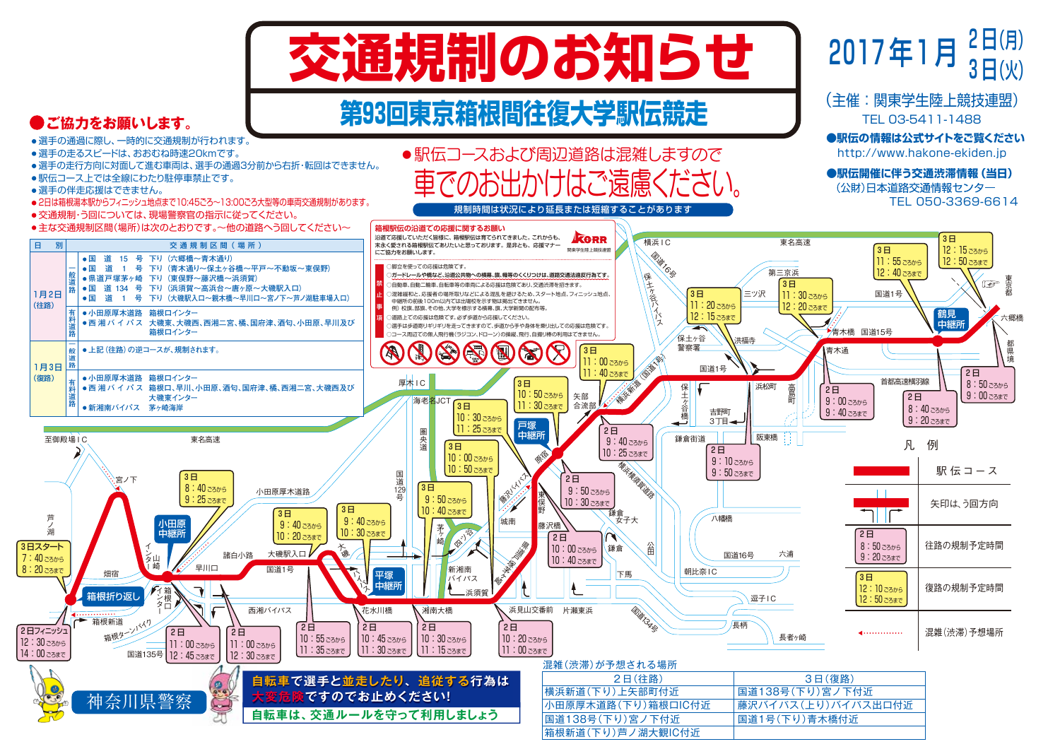

## **第93回東京箱根間往復大学駅伝競走**



芦 ノ<br>湖

3日スタート

7:40 ごろから 8:20 ごろまで

12:30 ごろから 14:00 ごろまで

 $\boldsymbol{\omega}$ 

日 別

1月2日 (往路)

1月3日 (復路)



混雑(渋滞)が予相される場所

### **自転車は、交通ルールを守って利用しましょう 自転車で選手と並走したり、追従する行為は** 神奈川県警察 **大変危険ですのでお止めください!**

| 2日(往路)             | 3日(復路)             |
|--------------------|--------------------|
| 横浜新道(下り)上矢部町付近     | 国道138号(下り)宮ノ下付近    |
| 小田原厚木道路(下り)箱根口IC付近 | 藤沢バイパス(上り)バイパス出口付近 |
| 国道138号(下り)宮ノ下付近    | 国道1号(下り)青木橋付近      |
| 箱根新道(下り)芦ノ湖大観IC付近  |                    |

都 県 境

3 日(火)